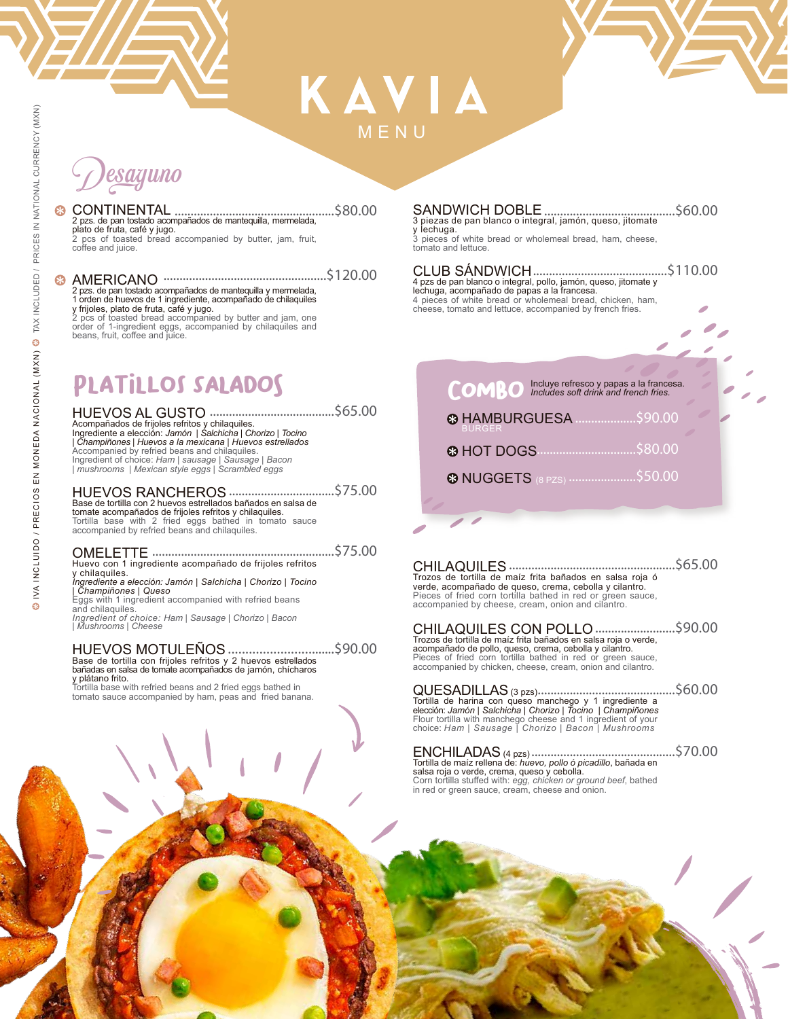## KAVIA MENU

# Desayuno

..................................................\$80.00 CONTINENTAL 2 pzs. de pan tostado acompañados de mantequilla, mermelada, plato de fruta, café y jugo. 2 pcs of toasted bread accompanied by butter, jam, fruit, coffee and juice.

### ...................................................\$120.00

AMERICANO 2 pzs. de pan tostado acompañados de mantequilla y mermelada, 1 orden de huevos de 1 ingrediente, acompañado de chilaquiles y frijoles, plato de fruta, café y jugo. 2 pcs of toasted bread accompanied by butter and jam, one order of 1-ingredient eggs, accompanied by chilaquiles and beans, fruit, coffee and juice.

## PLATILLOS SALADOS

HUEVOS AL GUSTO .......................................\$65.00 Acompañados de frijoles refritos y chilaquiles. Ingrediente a elección: *Jamón | Salchicha | Chorizo | Tocino | Champiñones | Huevos a la mexicana | Huevos estrellados* Accompanied by refried beans and chilaquiles. Ingredient of choice: *Ham | sausage | Sausage | Bacon | mushrooms | Mexican style eggs | Scrambled eggs*

### HUEVOS RANCHEROS .................................\$75.00 Base de tortilla con 2 huevos estrellados bañados en salsa de

tomate acompañados de frijoles refritos y chilaquiles. Tortilla base with 2 fried eggs bathed in tomato sauce accompanied by refried beans and chilaquiles.

### OMELETTE .........................................................\$75.00 Huevo con 1 ingrediente acompañado de frijoles refritos

y chilaquiles. *Ingrediente a elección: Jamón | Salchicha | Chorizo | Tocino* 

**| Champiñones | Queso**<br>Eggs with 1 ingredient accompanied with refried beans<br>and chilaquiles.

*Ingredient of choice: Ham | Sausage | Chorizo | Bacon | Mushrooms | Cheese*

### HUEVOS MOTULEÑOS Base de tortilla con frijoles refritos y 2 huevos estrellados bañadas en salsa de tomate acompañados de jamón, chícharos ...............................\$90.00

y plátano frito. Tortilla base with refried beans and 2 fried eggs bathed in tomato sauce accompanied by ham, peas and fried banana.

### SANDWICH DOBLE 3 piezas de pan blanco o integral, jamón, queso, jitomate .........................................\$60.00

y lechuga. 3 pieces of white bread or wholemeal bread, ham, cheese, tomato and lettuce.

CLUB SÁNDWICH ..........................................\$110.00 4 pzs de pan blanco o integral, pollo, jamón, queso, jitomate y lechuga, acompañado de papas a la francesa. 4 pieces of white bread or wholemeal bread, chicken, ham, cheese, tomato and lettuce, accompanied by french fries.

### COMBO Incluye refresco y papas a la francesa.<br>
COMBO Includes soft drink and french fries. HAMBURGUESA ...................\$90.00 BURGER HOT DOGS ...............................\$80.00 NUGGETS (8 PZS) .....................\$50.00

| Trozos de tortilla de maíz frita bañados en salsa roja ó    |  |
|-------------------------------------------------------------|--|
| verde, acompañado de queso, crema, cebolla y cilantro,      |  |
| Pieces of fried corn tortilla bathed in red or green sauce, |  |
| accompanied by cheese, cream, onion and cilantro.           |  |
|                                                             |  |

| CHILAQUILES CON POLLO \$90.00                                                                                             |  |
|---------------------------------------------------------------------------------------------------------------------------|--|
| Trozos de tortilla de maíz frita bañados en salsa roja o verde,                                                           |  |
| acompañado de pollo, queso, crema, cebolla y cilantro.                                                                    |  |
| Pieces of fried corn tortilla bathed in red or green sauce,<br>accompanied by chicken, cheese, cream, onion and cilantro, |  |

| Tortilla de harina con queso manchego y 1 ingrediente a                                                                      |  |
|------------------------------------------------------------------------------------------------------------------------------|--|
| elección: Jamón   Salchicha   Chorizo   Tocino   Champiñones<br>Flour tortilla with manchego cheese and 1 ingredient of your |  |
| choice: Ham   Sausage   Chorizo   Bacon   Mushrooms                                                                          |  |

| Tortilla de maíz rellena de: huevo, pollo ó picadillo, bañada en                                                   |  |
|--------------------------------------------------------------------------------------------------------------------|--|
| salsa roja o verde, crema, queso y cebolla.                                                                        |  |
| Corn tortilla stuffed with: egg, chicken or ground beef, bathed<br>in red or green sauce, cream, cheese and onion. |  |

\$